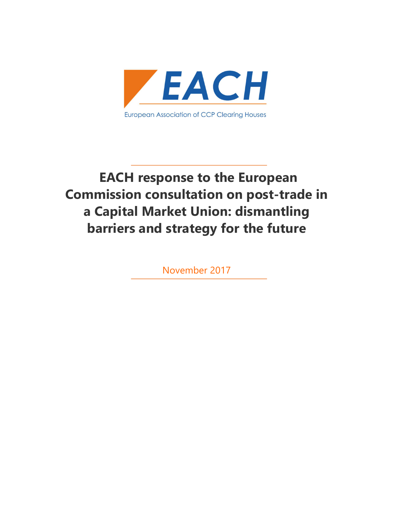

# EACH response to the European Commission consultation on post-trade in a Capital Market Union: dismantling barriers and strategy for the future

November 2017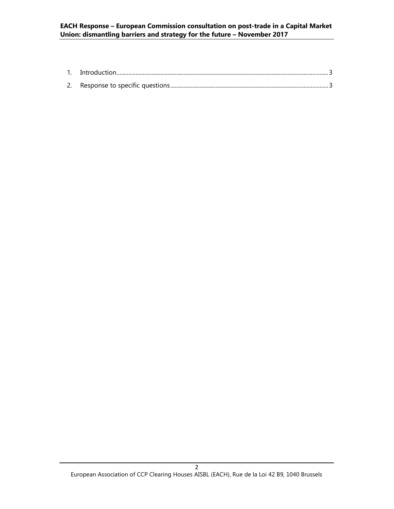# EACH Response – European Commission consultation on post-trade in a Capital Market Union: dismantling barriers and strategy for the future – November 2017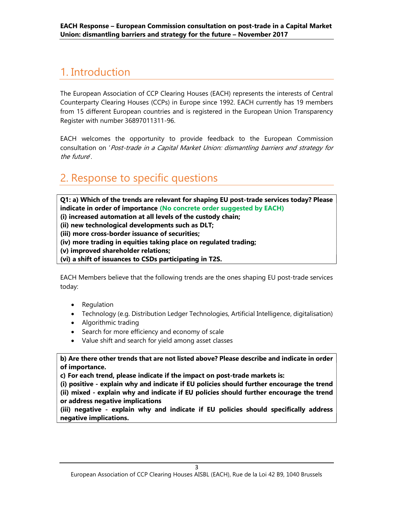# 1. Introduction

The European Association of CCP Clearing Houses (EACH) represents the interests of Central Counterparty Clearing Houses (CCPs) in Europe since 1992. EACH currently has 19 members from 15 different European countries and is registered in the European Union Transparency Register with number 36897011311-96.

EACH welcomes the opportunity to provide feedback to the European Commission consultation on 'Post-trade in a Capital Market Union: dismantling barriers and strategy for the future'.

# 2. Response to specific questions

Q1: a) Which of the trends are relevant for shaping EU post-trade services today? Please indicate in order of importance (No concrete order suggested by EACH)

(i) increased automation at all levels of the custody chain;

(ii) new technological developments such as DLT;

(iii) more cross-border issuance of securities;

(iv) more trading in equities taking place on regulated trading;

(v) improved shareholder relations;

(vi) a shift of issuances to CSDs participating in T2S.

EACH Members believe that the following trends are the ones shaping EU post-trade services today:

- Regulation
- Technology (e.g. Distribution Ledger Technologies, Artificial Intelligence, digitalisation)
- Algorithmic trading
- Search for more efficiency and economy of scale
- Value shift and search for yield among asset classes

b) Are there other trends that are not listed above? Please describe and indicate in order of importance.

c) For each trend, please indicate if the impact on post-trade markets is:

(i) positive - explain why and indicate if EU policies should further encourage the trend (ii) mixed - explain why and indicate if EU policies should further encourage the trend or address negative implications

(iii) negative - explain why and indicate if EU policies should specifically address negative implications.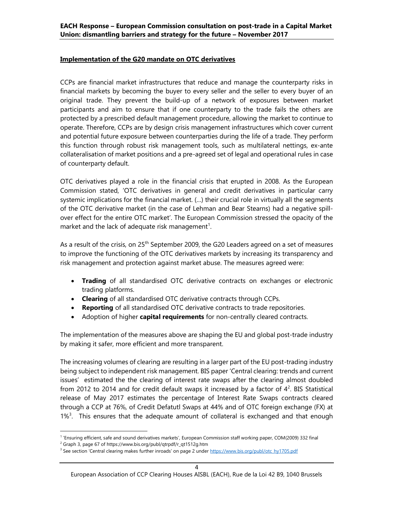#### Implementation of the G20 mandate on OTC derivatives

CCPs are financial market infrastructures that reduce and manage the counterparty risks in financial markets by becoming the buyer to every seller and the seller to every buyer of an original trade. They prevent the build-up of a network of exposures between market participants and aim to ensure that if one counterparty to the trade fails the others are protected by a prescribed default management procedure, allowing the market to continue to operate. Therefore, CCPs are by design crisis management infrastructures which cover current and potential future exposure between counterparties during the life of a trade. They perform this function through robust risk management tools, such as multilateral nettings, ex-ante collateralisation of market positions and a pre-agreed set of legal and operational rules in case of counterparty default.

OTC derivatives played a role in the financial crisis that erupted in 2008. As the European Commission stated, 'OTC derivatives in general and credit derivatives in particular carry systemic implications for the financial market. (…) their crucial role in virtually all the segments of the OTC derivative market (in the case of Lehman and Bear Stearns) had a negative spillover effect for the entire OTC market'. The European Commission stressed the opacity of the market and the lack of adequate risk management<sup>1</sup>.

As a result of the crisis, on 25<sup>th</sup> September 2009, the G20 Leaders agreed on a set of measures to improve the functioning of the OTC derivatives markets by increasing its transparency and risk management and protection against market abuse. The measures agreed were:

- Trading of all standardised OTC derivative contracts on exchanges or electronic trading platforms.
- Clearing of all standardised OTC derivative contracts through CCPs.
- Reporting of all standardised OTC derivative contracts to trade repositories.
- Adoption of higher capital requirements for non-centrally cleared contracts.

The implementation of the measures above are shaping the EU and global post-trade industry by making it safer, more efficient and more transparent.

The increasing volumes of clearing are resulting in a larger part of the EU post-trading industry being subject to independent risk management. BIS paper 'Central clearing: trends and current issues' estimated the the clearing of interest rate swaps after the clearing almost doubled from 2012 to 2014 and for credit default swaps it increased by a factor of  $4^2$ . BIS Statistical release of May 2017 estimates the percentage of Interest Rate Swaps contracts cleared through a CCP at 76%, of Credit Defatutl Swaps at 44% and of OTC foreign exchange (FX) at  $1\%$ <sup>3</sup>. This ensures that the adequate amount of collateral is exchanged and that enough

<sup>&</sup>lt;sup>1</sup> 'Ensuring efficient, safe and sound derivatives markets', European Commission staff working paper, COM(2009) 332 final

<sup>&</sup>lt;sup>2</sup> Graph 3, page 67 of https://www.bis.org/publ/qtrpdf/r\_qt1512g.htm

<sup>&</sup>lt;sup>3</sup> See section 'Central clearing makes further inroads' on page 2 under https://www.bis.org/publ/otc\_hy1705.pdf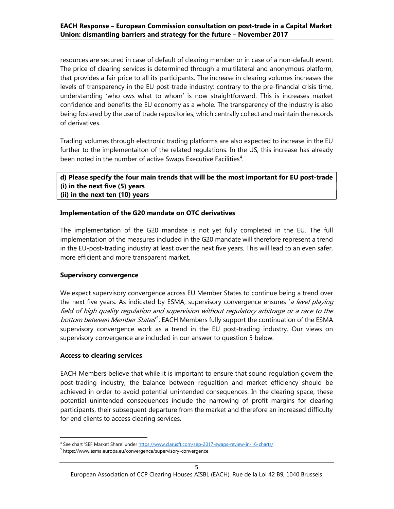resources are secured in case of default of clearing member or in case of a non-default event. The price of clearing services is determined through a multilateral and anonymous platform, that provides a fair price to all its participants. The increase in clearing volumes increases the levels of transparency in the EU post-trade industry: contrary to the pre-financial crisis time, understanding 'who ows what to whom' is now straightforward. This is increases market confidence and benefits the EU economy as a whole. The transparency of the industry is also being fostered by the use of trade repositories, which centrally collect and maintain the records of derivatives.

Trading volumes through electronic trading platforms are also expected to increase in the EU further to the implementaiton of the related regulations. In the US, this increase has already been noted in the number of active Swaps Executive Facilities<sup>4</sup>.

#### d) Please specify the four main trends that will be the most important for EU post-trade (i) in the next five (5) years (ii) in the next ten (10) years

#### Implementation of the G20 mandate on OTC derivatives

The implementation of the G20 mandate is not yet fully completed in the EU. The full implementation of the measures included in the G20 mandate will therefore represent a trend in the EU-post-trading industry at least over the next five years. This will lead to an even safer, more efficient and more transparent market.

#### Supervisory convergence

We expect supervisory convergence across EU Member States to continue being a trend over the next five years. As indicated by ESMA, supervisory convergence ensures 'a level playing field of high quality regulation and supervision without regulatory arbitrage or a race to the bottom between Member States<sup>5</sup>. EACH Members fully support the continuation of the ESMA supervisory convergence work as a trend in the EU post-trading industry. Our views on supervisory convergence are included in our answer to question 5 below.

#### Access to clearing services

1

EACH Members believe that while it is important to ensure that sound regulation govern the post-trading industry, the balance between regualtion and market efficiency should be achieved in order to avoid potential unintended consequences. In the clearing space, these potential unintended consequences include the narrowing of profit margins for clearing participants, their subsequent departure from the market and therefore an increased difficulty for end clients to access clearing services.

<sup>4</sup> See chart 'SEF Market Share' under https://www.clarusft.com/sep-2017-swaps-review-in-16-charts/

<sup>5</sup> https://www.esma.europa.eu/convergence/supervisory-convergence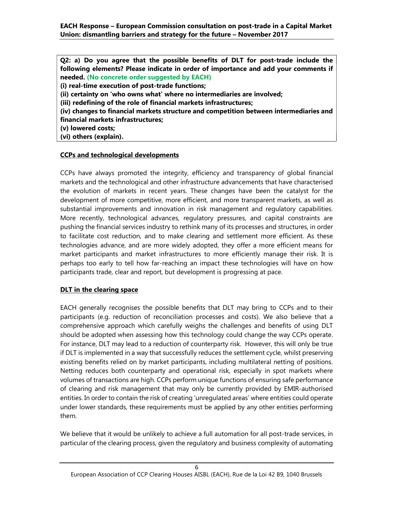Q2: a) Do you agree that the possible benefits of DLT for post-trade include the following elements? Please indicate in order of importance and add your comments if needed. (No concrete order suggested by EACH) (i) real-time execution of post-trade functions;

(ii) certainty on 'who owns what' where no intermediaries are involved;

(iii) redefining of the role of financial markets infrastructures;

(iv) changes to financial markets structure and competition between intermediaries and financial markets infrastructures;

(v) lowered costs;

(vi) others (explain).

### CCPs and technological developments

CCPs have always promoted the integrity, efficiency and transparency of global financial markets and the technological and other infrastructure advancements that have characterised the evolution of markets in recent years. These changes have been the catalyst for the development of more competitive, more efficient, and more transparent markets, as well as substantial improvements and innovation in risk management and regulatory capabilities. More recently, technological advances, regulatory pressures, and capital constraints are pushing the financial services industry to rethink many of its processes and structures, in order to facilitate cost reduction, and to make clearing and settlement more efficient. As these technologies advance, and are more widely adopted, they offer a more efficient means for market participants and market infrastructures to more efficiently manage their risk. It is perhaps too early to tell how far-reaching an impact these technologies will have on how participants trade, clear and report, but development is progressing at pace.

# DLT in the clearing space

EACH generally recognises the possible benefits that DLT may bring to CCPs and to their participants (e.g. reduction of reconciliation processes and costs). We also believe that a comprehensive approach which carefully weighs the challenges and benefits of using DLT should be adopted when assessing how this technology could change the way CCPs operate. For instance, DLT may lead to a reduction of counterparty risk. However, this will only be true if DLT is implemented in a way that successfully reduces the settlement cycle, whilst preserving existing benefits relied on by market participants, including multilateral netting of positions. Netting reduces both counterparty and operational risk, especially in spot markets where volumes of transactions are high. CCPs perform unique functions of ensuring safe performance of clearing and risk management that may only be currently provided by EMIR-authorised entities. In order to contain the risk of creating 'unregulated areas' where entities could operate under lower standards, these requirements must be applied by any other entities performing them.

We believe that it would be unlikely to achieve a full automation for all post-trade services, in particular of the clearing process, given the regulatory and business complexity of automating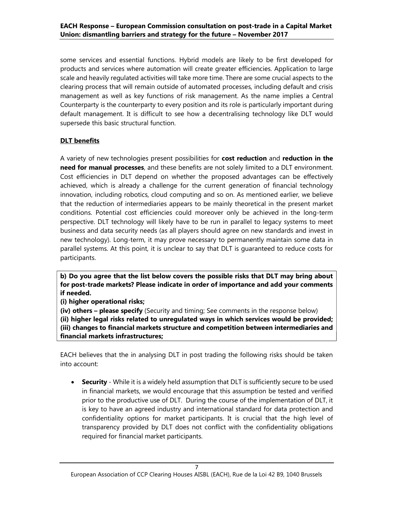some services and essential functions. Hybrid models are likely to be first developed for products and services where automation will create greater efficiencies. Application to large scale and heavily regulated activities will take more time. There are some crucial aspects to the clearing process that will remain outside of automated processes, including default and crisis management as well as key functions of risk management. As the name implies a Central Counterparty is the counterparty to every position and its role is particularly important during default management. It is difficult to see how a decentralising technology like DLT would supersede this basic structural function.

# DLT benefits

A variety of new technologies present possibilities for cost reduction and reduction in the need for manual processes, and these benefits are not solely limited to a DLT environment. Cost efficiencies in DLT depend on whether the proposed advantages can be effectively achieved, which is already a challenge for the current generation of financial technology innovation, including robotics, cloud computing and so on. As mentioned earlier, we believe that the reduction of intermediaries appears to be mainly theoretical in the present market conditions. Potential cost efficiencies could moreover only be achieved in the long-term perspective. DLT technology will likely have to be run in parallel to legacy systems to meet business and data security needs (as all players should agree on new standards and invest in new technology). Long-term, it may prove necessary to permanently maintain some data in parallel systems. At this point, it is unclear to say that DLT is guaranteed to reduce costs for participants.

b) Do you agree that the list below covers the possible risks that DLT may bring about for post-trade markets? Please indicate in order of importance and add your comments if needed.

(i) higher operational risks;

(iv) others – please specify (Security and timing; See comments in the response below)

(ii) higher legal risks related to unregulated ways in which services would be provided; (iii) changes to financial markets structure and competition between intermediaries and financial markets infrastructures;

EACH believes that the in analysing DLT in post trading the following risks should be taken into account:

**Security** - While it is a widely held assumption that DLT is sufficiently secure to be used in financial markets, we would encourage that this assumption be tested and verified prior to the productive use of DLT. During the course of the implementation of DLT, it is key to have an agreed industry and international standard for data protection and confidentiality options for market participants. It is crucial that the high level of transparency provided by DLT does not conflict with the confidentiality obligations required for financial market participants.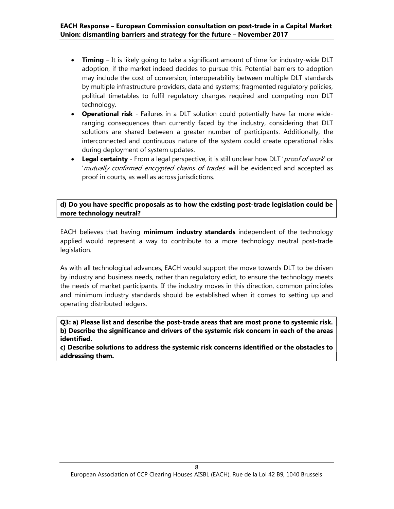- Timing It is likely going to take a significant amount of time for industry-wide DLT adoption, if the market indeed decides to pursue this. Potential barriers to adoption may include the cost of conversion, interoperability between multiple DLT standards by multiple infrastructure providers, data and systems; fragmented regulatory policies, political timetables to fulfil regulatory changes required and competing non DLT technology.
- Operational risk Failures in a DLT solution could potentially have far more wideranging consequences than currently faced by the industry, considering that DLT solutions are shared between a greater number of participants. Additionally, the interconnected and continuous nature of the system could create operational risks during deployment of system updates.
- Legal certainty From a legal perspective, it is still unclear how DLT ' proof of work' or 'mutually confirmed encrypted chains of trades' will be evidenced and accepted as proof in courts, as well as across jurisdictions.

d) Do you have specific proposals as to how the existing post-trade legislation could be more technology neutral?

EACH believes that having minimum industry standards independent of the technology applied would represent a way to contribute to a more technology neutral post-trade legislation.

As with all technological advances, EACH would support the move towards DLT to be driven by industry and business needs, rather than regulatory edict, to ensure the technology meets the needs of market participants. If the industry moves in this direction, common principles and minimum industry standards should be established when it comes to setting up and operating distributed ledgers.

Q3: a) Please list and describe the post-trade areas that are most prone to systemic risk. b) Describe the significance and drivers of the systemic risk concern in each of the areas identified.

c) Describe solutions to address the systemic risk concerns identified or the obstacles to addressing them.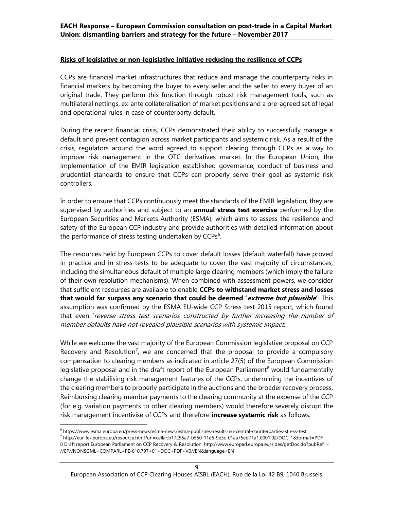#### Risks of legislative or non-legislative initiative reducing the resilience of CCPs

CCPs are financial market infrastructures that reduce and manage the counterparty risks in financial markets by becoming the buyer to every seller and the seller to every buyer of an original trade. They perform this function through robust risk management tools, such as multilateral nettings, ex-ante collateralisation of market positions and a pre-agreed set of legal and operational rules in case of counterparty default.

During the recent financial crisis, CCPs demonstrated their ability to successfully manage a default and prevent contagion across market participants and systemic risk. As a result of the crisis, regulators around the word agreed to support clearing through CCPs as a way to improve risk management in the OTC derivatives market. In the European Union, the implementation of the EMIR legislation established governance, conduct of business and prudential standards to ensure that CCPs can properly serve their goal as systemic risk controllers.

In order to ensure that CCPs continuously meet the standards of the EMIR legislation, they are supervised by authorities and subject to an **annual stress test exercise** performed by the European Securities and Markets Authority (ESMA), which aims to assess the resilience and safety of the European CCP industry and provide authorities with detailed information about the performance of stress testing undertaken by CCPs<sup>6</sup>.

The resources held by European CCPs to cover default losses (default waterfall) have proved in practice and in stress-tests to be adequate to cover the vast majority of circumstances, including the simultaneous default of multiple large clearing members (which imply the failure of their own resolution mechanisms). When combined with assessment powers, we consider that sufficient resources are available to enable CCPs to withstand market stress and losses that would far surpass any scenario that could be deemed 'extreme but plausible'. This assumption was confirmed by the ESMA EU-wide CCP Stress test 2015 report, which found that even 'reverse stress test scenarios constructed by further increasing the number of member defaults have not revealed plausible scenarios with systemic impact.'

While we welcome the vast majority of the European Commission legislative proposal on CCP Recovery and Resolution<sup>7</sup>, we are concerned that the proposal to provide a compulsory compensation to clearing members as indicated in article 27(5) of the European Commission legislative proposal and in the draft report of the European Parliament $^8$  would fundamentally change the stabilising risk management features of the CCPs, undermining the incentives of the clearing members to properly participate in the auctions and the broader recovery process. Reimbursing clearing member payments to the clearing community at the expense of the CCP (for e.g. variation payments to other clearing members) would therefore severely disrupt the risk management incentivise of CCPs and therefore **increase systemic risk** as follows:

European Association of CCP Clearing Houses AISBL (EACH), Rue de la Loi 42 B9, 1040 Brussels

<sup>6</sup> https://www.esma.europa.eu/press-news/esma-news/esma-publishes-results-eu-central-counterparties-stress-test

<sup>7</sup> http://eur-lex.europa.eu/resource.html?uri=cellar:b17255a7-b550-11e6-9e3c-01aa75ed71a1.0001.02/DOC\_1&format=PDF 8 Draft report European Parliament on CCP Recovery & Resolution: http://www.europarl.europa.eu/sides/getDoc.do?pubRef=- //EP//NONSGML+COMPARL+PE-610.797+01+DOC+PDF+V0//EN&language=EN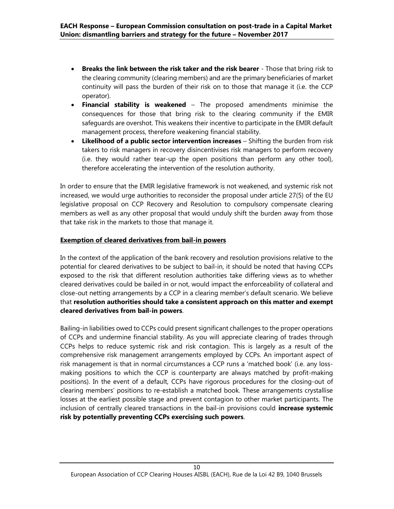- Breaks the link between the risk taker and the risk bearer Those that bring risk to the clearing community (clearing members) and are the primary beneficiaries of market continuity will pass the burden of their risk on to those that manage it (i.e. the CCP operator).
- Financial stability is weakened The proposed amendments minimise the consequences for those that bring risk to the clearing community if the EMIR safeguards are overshot. This weakens their incentive to participate in the EMIR default management process, therefore weakening financial stability.
- Likelihood of a public sector intervention increases Shifting the burden from risk takers to risk managers in recovery disincentivises risk managers to perform recovery (i.e. they would rather tear-up the open positions than perform any other tool), therefore accelerating the intervention of the resolution authority.

In order to ensure that the EMIR legislative framework is not weakened, and systemic risk not increased, we would urge authorities to reconsider the proposal under article 27(5) of the EU legislative proposal on CCP Recovery and Resolution to compulsory compensate clearing members as well as any other proposal that would unduly shift the burden away from those that take risk in the markets to those that manage it.

### Exemption of cleared derivatives from bail-in powers

In the context of the application of the bank recovery and resolution provisions relative to the potential for cleared derivatives to be subject to bail-in, it should be noted that having CCPs exposed to the risk that different resolution authorities take differing views as to whether cleared derivatives could be bailed in or not, would impact the enforceability of collateral and close-out netting arrangements by a CCP in a clearing member's default scenario. We believe that resolution authorities should take a consistent approach on this matter and exempt cleared derivatives from bail-in powers.

Bailing-in liabilities owed to CCPs could present significant challenges to the proper operations of CCPs and undermine financial stability. As you will appreciate clearing of trades through CCPs helps to reduce systemic risk and risk contagion. This is largely as a result of the comprehensive risk management arrangements employed by CCPs. An important aspect of risk management is that in normal circumstances a CCP runs a 'matched book' (i.e. any lossmaking positions to which the CCP is counterparty are always matched by profit-making positions). In the event of a default, CCPs have rigorous procedures for the closing-out of clearing members' positions to re-establish a matched book. These arrangements crystallise losses at the earliest possible stage and prevent contagion to other market participants. The inclusion of centrally cleared transactions in the bail-in provisions could **increase systemic** risk by potentially preventing CCPs exercising such powers.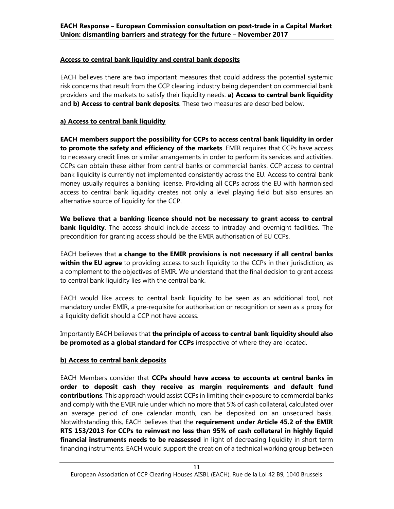# Access to central bank liquidity and central bank deposits

EACH believes there are two important measures that could address the potential systemic risk concerns that result from the CCP clearing industry being dependent on commercial bank providers and the markets to satisfy their liquidity needs: a) Access to central bank liquidity and b) Access to central bank deposits. These two measures are described below.

# a) Access to central bank liquidity

EACH members support the possibility for CCPs to access central bank liquidity in order to promote the safety and efficiency of the markets. EMIR requires that CCPs have access to necessary credit lines or similar arrangements in order to perform its services and activities. CCPs can obtain these either from central banks or commercial banks. CCP access to central bank liquidity is currently not implemented consistently across the EU. Access to central bank money usually requires a banking license. Providing all CCPs across the EU with harmonised access to central bank liquidity creates not only a level playing field but also ensures an alternative source of liquidity for the CCP.

We believe that a banking licence should not be necessary to grant access to central **bank liquidity**. The access should include access to intraday and overnight facilities. The precondition for granting access should be the EMIR authorisation of EU CCPs.

EACH believes that a change to the EMIR provisions is not necessary if all central banks within the EU agree to providing access to such liquidity to the CCPs in their jurisdiction, as a complement to the objectives of EMIR. We understand that the final decision to grant access to central bank liquidity lies with the central bank.

EACH would like access to central bank liquidity to be seen as an additional tool, not mandatory under EMIR, a pre-requisite for authorisation or recognition or seen as a proxy for a liquidity deficit should a CCP not have access.

Importantly EACH believes that the principle of access to central bank liquidity should also be promoted as a global standard for CCPs irrespective of where they are located.

### b) Access to central bank deposits

EACH Members consider that CCPs should have access to accounts at central banks in order to deposit cash they receive as margin requirements and default fund contributions. This approach would assist CCPs in limiting their exposure to commercial banks and comply with the EMIR rule under which no more that 5% of cash collateral, calculated over an average period of one calendar month, can be deposited on an unsecured basis. Notwithstanding this, EACH believes that the requirement under Article 45.2 of the EMIR RTS 153/2013 for CCPs to reinvest no less than 95% of cash collateral in highly liquid financial instruments needs to be reassessed in light of decreasing liquidity in short term financing instruments. EACH would support the creation of a technical working group between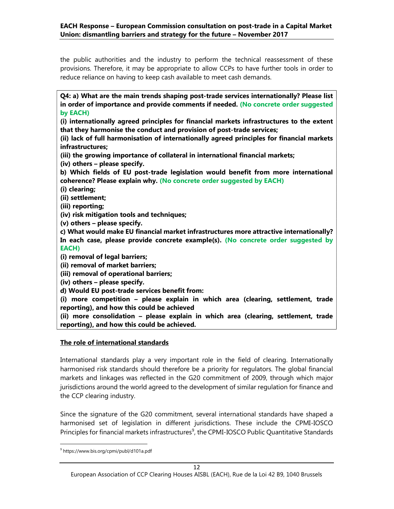the public authorities and the industry to perform the technical reassessment of these provisions. Therefore, it may be appropriate to allow CCPs to have further tools in order to reduce reliance on having to keep cash available to meet cash demands.

Q4: a) What are the main trends shaping post-trade services internationally? Please list in order of importance and provide comments if needed. (No concrete order suggested by EACH)

(i) internationally agreed principles for financial markets infrastructures to the extent that they harmonise the conduct and provision of post-trade services;

(ii) lack of full harmonisation of internationally agreed principles for financial markets infrastructures;

(iii) the growing importance of collateral in international financial markets;

(iv) others – please specify.

b) Which fields of EU post-trade legislation would benefit from more international coherence? Please explain why. (No concrete order suggested by EACH)

(i) clearing;

(ii) settlement;

(iii) reporting;

(iv) risk mitigation tools and techniques;

(v) others – please specify.

c) What would make EU financial market infrastructures more attractive internationally? In each case, please provide concrete example(s). (No concrete order suggested by EACH)

(i) removal of legal barriers;

(ii) removal of market barriers;

(iii) removal of operational barriers;

(iv) others – please specify.

d) Would EU post-trade services benefit from:

(i) more competition – please explain in which area (clearing, settlement, trade reporting), and how this could be achieved

(ii) more consolidation – please explain in which area (clearing, settlement, trade reporting), and how this could be achieved.

### The role of international standards

International standards play a very important role in the field of clearing. Internationally harmonised risk standards should therefore be a priority for regulators. The global financial markets and linkages was reflected in the G20 commitment of 2009, through which major jurisdictions around the world agreed to the development of similar regulation for finance and the CCP clearing industry.

Since the signature of the G20 commitment, several international standards have shaped a harmonised set of legislation in different jurisdictions. These include the CPMI-IOSCO Principles for financial markets infrastructures<sup>9</sup>, the CPMI-IOSCO Public Quantitative Standards

<sup>9</sup> https://www.bis.org/cpmi/publ/d101a.pdf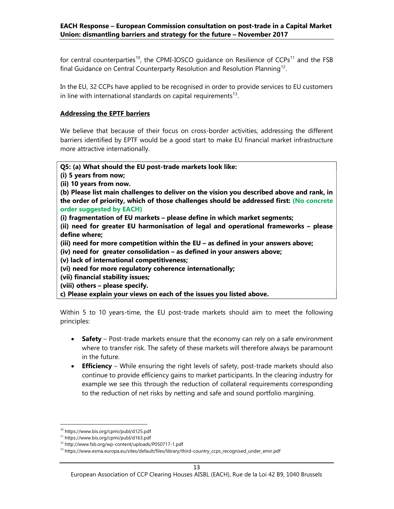for central counterparties<sup>10</sup>, the CPMI-IOSCO guidance on Resilience of CCPs<sup>11</sup> and the FSB final Guidance on Central Counterparty Resolution and Resolution Planning<sup>12</sup>.

In the EU, 32 CCPs have applied to be recognised in order to provide services to EU customers in line with international standards on capital requirements $^{13}$ .

# Addressing the EPTF barriers

We believe that because of their focus on cross-border activities, addressing the different barriers identified by EPTF would be a good start to make EU financial market infrastructure more attractive internationally.

### Q5: (a) What should the EU post-trade markets look like:

(i) 5 years from now;

(ii) 10 years from now.

(b) Please list main challenges to deliver on the vision you described above and rank, in the order of priority, which of those challenges should be addressed first: (No concrete order suggested by EACH)

(i) fragmentation of EU markets – please define in which market segments;

(ii) need for greater EU harmonisation of legal and operational frameworks – please define where;

(iii) need for more competition within the EU – as defined in your answers above;

(iv) need for greater consolidation – as defined in your answers above;

- (v) lack of international competitiveness;
- (vi) need for more regulatory coherence internationally;
- (vii) financial stability issues;
- (viii) others please specify.

c) Please explain your views on each of the issues you listed above.

Within 5 to 10 years-time, the EU post-trade markets should aim to meet the following principles:

- Safety Post-trade markets ensure that the economy can rely on a safe environment where to transfer risk. The safety of these markets will therefore always be paramount in the future.
- Efficiency While ensuring the right levels of safety, post-trade markets should also continue to provide efficiency gains to market participants. In the clearing industry for example we see this through the reduction of collateral requirements corresponding to the reduction of net risks by netting and safe and sound portfolio margining.

<sup>10</sup> https://www.bis.org/cpmi/publ/d125.pdf

<sup>11</sup> https://www.bis.org/cpmi/publ/d163.pdf

<sup>12</sup> http://www.fsb.org/wp-content/uploads/P050717-1.pdf

<sup>13</sup> https://www.esma.europa.eu/sites/default/files/library/third-country\_ccps\_recognised\_under\_emir.pdf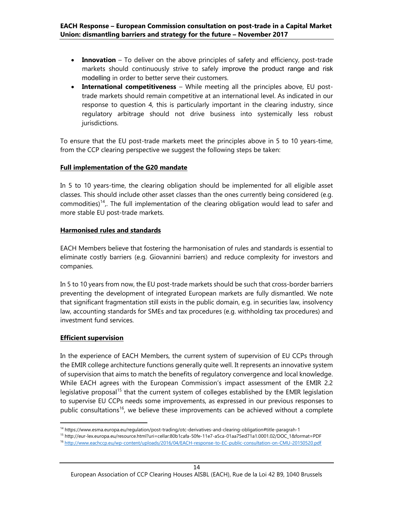- Innovation To deliver on the above principles of safety and efficiency, post-trade markets should continuously strive to safely improve the product range and risk modelling in order to better serve their customers.
- International competitiveness While meeting all the principles above, EU posttrade markets should remain competitive at an international level. As indicated in our response to question 4, this is particularly important in the clearing industry, since regulatory arbitrage should not drive business into systemically less robust jurisdictions.

To ensure that the EU post-trade markets meet the principles above in 5 to 10 years-time, from the CCP clearing perspective we suggest the following steps be taken:

#### Full implementation of the G20 mandate

In 5 to 10 years-time, the clearing obligation should be implemented for all eligible asset classes. This should include other asset classes than the ones currently being considered (e.g. commodities)<sup>14</sup>,. The full implementation of the clearing obligation would lead to safer and more stable EU post-trade markets.

#### Harmonised rules and standards

EACH Members believe that fostering the harmonisation of rules and standards is essential to eliminate costly barriers (e.g. Giovannini barriers) and reduce complexity for investors and companies.

In 5 to 10 years from now, the EU post-trade markets should be such that cross-border barriers preventing the development of integrated European markets are fully dismantled. We note that significant fragmentation still exists in the public domain, e.g. in securities law, insolvency law, accounting standards for SMEs and tax procedures (e.g. withholding tax procedures) and investment fund services.

#### Efficient supervision

1

In the experience of EACH Members, the current system of supervision of EU CCPs through the EMIR college architecture functions generally quite well. It represents an innovative system of supervision that aims to match the benefits of regulatory convergence and local knowledge. While EACH agrees with the European Commission's impact assessment of the EMIR 2.2 legislative proposal<sup>15</sup> that the current system of colleges established by the EMIR legislation to supervise EU CCPs needs some improvements, as expressed in our previous responses to public consultations<sup>16</sup>, we believe these improvements can be achieved without a complete

<sup>14</sup> https://www.esma.europa.eu/regulation/post-trading/otc-derivatives-and-clearing-obligation#title-paragrah-1

<sup>15</sup> http://eur-lex.europa.eu/resource.html?uri=cellar:80b1cafa-50fe-11e7-a5ca-01aa75ed71a1.0001.02/DOC\_1&format=PDF

<sup>16</sup> http://www.eachccp.eu/wp-content/uploads/2016/04/EACH-response-to-EC-public-consultation-on-CMU-20150520.pdf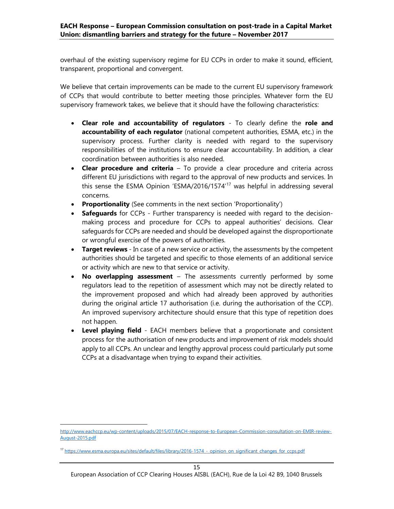overhaul of the existing supervisory regime for EU CCPs in order to make it sound, efficient, transparent, proportional and convergent.

We believe that certain improvements can be made to the current EU supervisory framework of CCPs that would contribute to better meeting those principles. Whatever form the EU supervisory framework takes, we believe that it should have the following characteristics:

- Clear role and accountability of regulators To clearly define the role and accountability of each regulator (national competent authorities, ESMA, etc.) in the supervisory process. Further clarity is needed with regard to the supervisory responsibilities of the institutions to ensure clear accountability. In addition, a clear coordination between authorities is also needed.
- Clear procedure and criteria To provide a clear procedure and criteria across different EU jurisdictions with regard to the approval of new products and services. In this sense the ESMA Opinion 'ESMA/2016/1574'<sup>17</sup> was helpful in addressing several concerns.
- Proportionality (See comments in the next section 'Proportionality')
- Safequards for CCPs Further transparency is needed with regard to the decisionmaking process and procedure for CCPs to appeal authorities' decisions. Clear safeguards for CCPs are needed and should be developed against the disproportionate or wrongful exercise of the powers of authorities.
- **Target reviews** In case of a new service or activity, the assessments by the competent authorities should be targeted and specific to those elements of an additional service or activity which are new to that service or activity.
- No overlapping assessment The assessments currently performed by some regulators lead to the repetition of assessment which may not be directly related to the improvement proposed and which had already been approved by authorities during the original article 17 authorisation (i.e. during the authorisation of the CCP). An improved supervisory architecture should ensure that this type of repetition does not happen.
- Level playing field EACH members believe that a proportionate and consistent process for the authorisation of new products and improvement of risk models should apply to all CCPs. An unclear and lengthy approval process could particularly put some CCPs at a disadvantage when trying to expand their activities.

http://www.eachccp.eu/wp-content/uploads/2015/07/EACH-response-to-European-Commission-consultation-on-EMIR-review-August-2015.pdf

<sup>17</sup> https://www.esma.europa.eu/sites/default/files/library/2016-1574 - opinion\_on\_significant\_changes\_for\_ccps.pdf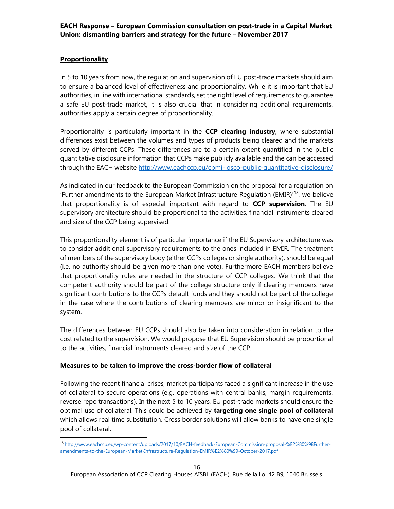# **Proportionality**

1

In 5 to 10 years from now, the regulation and supervision of EU post-trade markets should aim to ensure a balanced level of effectiveness and proportionality. While it is important that EU authorities, in line with international standards, set the right level of requirements to guarantee a safe EU post-trade market, it is also crucial that in considering additional requirements, authorities apply a certain degree of proportionality.

Proportionality is particularly important in the **CCP clearing industry**, where substantial differences exist between the volumes and types of products being cleared and the markets served by different CCPs. These differences are to a certain extent quantified in the public quantitative disclosure information that CCPs make publicly available and the can be accessed through the EACH website http://www.eachccp.eu/cpmi-iosco-public-quantitative-disclosure/

As indicated in our feedback to the European Commission on the proposal for a regulation on 'Further amendments to the European Market Infrastructure Regulation (EMIR)<sup>'18</sup>, we believe that proportionality is of especial important with regard to CCP supervision. The EU supervisory architecture should be proportional to the activities, financial instruments cleared and size of the CCP being supervised.

This proportionality element is of particular importance if the EU Supervisory architecture was to consider additional supervisory requirements to the ones included in EMIR. The treatment of members of the supervisory body (either CCPs colleges or single authority), should be equal (i.e. no authority should be given more than one vote). Furthermore EACH members believe that proportionality rules are needed in the structure of CCP colleges. We think that the competent authority should be part of the college structure only if clearing members have significant contributions to the CCPs default funds and they should not be part of the college in the case where the contributions of clearing members are minor or insignificant to the system.

The differences between EU CCPs should also be taken into consideration in relation to the cost related to the supervision. We would propose that EU Supervision should be proportional to the activities, financial instruments cleared and size of the CCP.

### Measures to be taken to improve the cross-border flow of collateral

Following the recent financial crises, market participants faced a significant increase in the use of collateral to secure operations (e.g. operations with central banks, margin requirements, reverse repo transactions). In the next 5 to 10 years, EU post-trade markets should ensure the optimal use of collateral. This could be achieved by targeting one single pool of collateral which allows real time substitution. Cross border solutions will allow banks to have one single pool of collateral.

<sup>18</sup> http://www.eachccp.eu/wp-content/uploads/2017/10/EACH-feedback-European-Commission-proposal-%E2%80%98Furtheramendments-to-the-European-Market-Infrastructure-Regulation-EMIR%E2%80%99-October-2017.pdf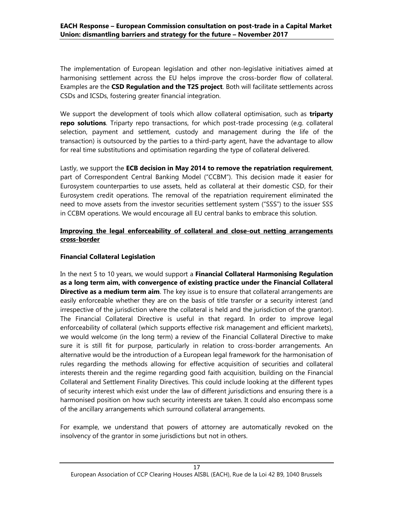The implementation of European legislation and other non-legislative initiatives aimed at harmonising settlement across the EU helps improve the cross-border flow of collateral. Examples are the CSD Regulation and the T2S project. Both will facilitate settlements across CSDs and ICSDs, fostering greater financial integration.

We support the development of tools which allow collateral optimisation, such as triparty repo solutions. Triparty repo transactions, for which post-trade processing (e.g. collateral selection, payment and settlement, custody and management during the life of the transaction) is outsourced by the parties to a third-party agent, have the advantage to allow for real time substitutions and optimisation regarding the type of collateral delivered.

Lastly, we support the **ECB decision in May 2014 to remove the repatriation requirement**, part of Correspondent Central Banking Model ("CCBM"). This decision made it easier for Eurosystem counterparties to use assets, held as collateral at their domestic CSD, for their Eurosystem credit operations. The removal of the repatriation requirement eliminated the need to move assets from the investor securities settlement system ("SSS") to the issuer SSS in CCBM operations. We would encourage all EU central banks to embrace this solution.

### Improving the legal enforceability of collateral and close-out netting arrangements cross-border

### Financial Collateral Legislation

In the next 5 to 10 years, we would support a Financial Collateral Harmonising Regulation as a long term aim, with convergence of existing practice under the Financial Collateral **Directive as a medium term aim**. The key issue is to ensure that collateral arrangements are easily enforceable whether they are on the basis of title transfer or a security interest (and irrespective of the jurisdiction where the collateral is held and the jurisdiction of the grantor). The Financial Collateral Directive is useful in that regard. In order to improve legal enforceability of collateral (which supports effective risk management and efficient markets), we would welcome (in the long term) a review of the Financial Collateral Directive to make sure it is still fit for purpose, particularly in relation to cross-border arrangements. An alternative would be the introduction of a European legal framework for the harmonisation of rules regarding the methods allowing for effective acquisition of securities and collateral interests therein and the regime regarding good faith acquisition, building on the Financial Collateral and Settlement Finality Directives. This could include looking at the different types of security interest which exist under the law of different jurisdictions and ensuring there is a harmonised position on how such security interests are taken. It could also encompass some of the ancillary arrangements which surround collateral arrangements.

For example, we understand that powers of attorney are automatically revoked on the insolvency of the grantor in some jurisdictions but not in others.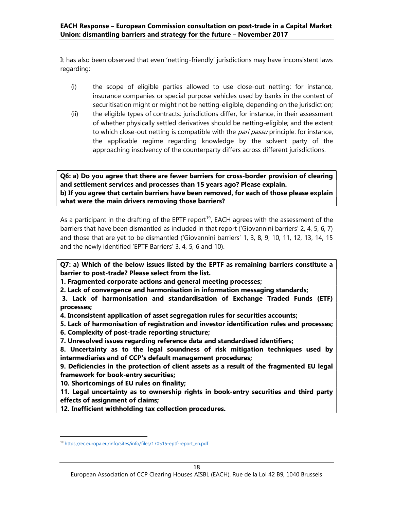It has also been observed that even 'netting-friendly' jurisdictions may have inconsistent laws regarding:

- (i) the scope of eligible parties allowed to use close-out netting: for instance, insurance companies or special purpose vehicles used by banks in the context of securitisation might or might not be netting-eligible, depending on the jurisdiction;
- (ii) the eligible types of contracts: jurisdictions differ, for instance, in their assessment of whether physically settled derivatives should be netting-eligible; and the extent to which close-out netting is compatible with the pari passu principle: for instance, the applicable regime regarding knowledge by the solvent party of the approaching insolvency of the counterparty differs across different jurisdictions.

Q6: a) Do you agree that there are fewer barriers for cross-border provision of clearing and settlement services and processes than 15 years ago? Please explain. b) If you agree that certain barriers have been removed, for each of those please explain what were the main drivers removing those barriers?

As a participant in the drafting of the EPTF report<sup>19</sup>, EACH agrees with the assessment of the barriers that have been dismantled as included in that report ('Giovannini barriers' 2, 4, 5, 6, 7) and those that are yet to be dismantled ('Giovannini barriers' 1, 3, 8, 9, 10, 11, 12, 13, 14, 15 and the newly identified 'EPTF Barriers' 3, 4, 5, 6 and 10).

Q7: a) Which of the below issues listed by the EPTF as remaining barriers constitute a barrier to post-trade? Please select from the list.

1. Fragmented corporate actions and general meeting processes;

2. Lack of convergence and harmonisation in information messaging standards;

 3. Lack of harmonisation and standardisation of Exchange Traded Funds (ETF) processes;

- 4. Inconsistent application of asset segregation rules for securities accounts;
- 5. Lack of harmonisation of registration and investor identification rules and processes;
- 6. Complexity of post-trade reporting structure;
- 7. Unresolved issues regarding reference data and standardised identifiers;

8. Uncertainty as to the legal soundness of risk mitigation techniques used by intermediaries and of CCP's default management procedures;

9. Deficiencies in the protection of client assets as a result of the fragmented EU legal framework for book-entry securities;

10. Shortcomings of EU rules on finality;

1

11. Legal uncertainty as to ownership rights in book-entry securities and third party effects of assignment of claims;

12. Inefficient withholding tax collection procedures.

<sup>&</sup>lt;sup>19</sup> https://ec.europa.eu/info/sites/info/files/170515-eptf-report\_en.pdf